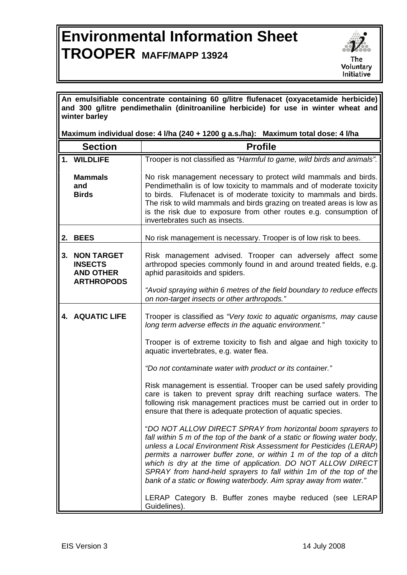## **Environmental Information Sheet TROOPER MAFF/MAPP 13924**



**An emulsifiable concentrate containing 60 g/litre flufenacet (oxyacetamide herbicide) and 300 g/litre pendimethalin (dinitroaniline herbicide) for use in winter wheat and winter barley** 

**Maximum individual dose: 4 l/ha (240 + 1200 g a.s./ha): Maximum total dose: 4 l/ha** 

|    | <b>Section</b>                                                               | <b>Profile</b>                                                                                                                                                                                                                                                                                                                                                                                                                                                                                  |
|----|------------------------------------------------------------------------------|-------------------------------------------------------------------------------------------------------------------------------------------------------------------------------------------------------------------------------------------------------------------------------------------------------------------------------------------------------------------------------------------------------------------------------------------------------------------------------------------------|
|    | 1. WILDLIFE                                                                  | Trooper is not classified as "Harmful to game, wild birds and animals".                                                                                                                                                                                                                                                                                                                                                                                                                         |
|    | <b>Mammals</b><br>and<br><b>Birds</b>                                        | No risk management necessary to protect wild mammals and birds.<br>Pendimethalin is of low toxicity to mammals and of moderate toxicity<br>to birds. Flufenacet is of moderate toxicity to mammals and birds.<br>The risk to wild mammals and birds grazing on treated areas is low as<br>is the risk due to exposure from other routes e.g. consumption of<br>invertebrates such as insects.                                                                                                   |
|    | 2. BEES                                                                      | No risk management is necessary. Trooper is of low risk to bees.                                                                                                                                                                                                                                                                                                                                                                                                                                |
| 3. | <b>NON TARGET</b><br><b>INSECTS</b><br><b>AND OTHER</b><br><b>ARTHROPODS</b> | Risk management advised. Trooper can adversely affect some<br>arthropod species commonly found in and around treated fields, e.g.<br>aphid parasitoids and spiders.                                                                                                                                                                                                                                                                                                                             |
|    |                                                                              | "Avoid spraying within 6 metres of the field boundary to reduce effects<br>on non-target insects or other arthropods."                                                                                                                                                                                                                                                                                                                                                                          |
|    | <b>4. AQUATIC LIFE</b>                                                       | Trooper is classified as "Very toxic to aquatic organisms, may cause<br>long term adverse effects in the aquatic environment."                                                                                                                                                                                                                                                                                                                                                                  |
|    |                                                                              | Trooper is of extreme toxicity to fish and algae and high toxicity to<br>aquatic invertebrates, e.g. water flea.                                                                                                                                                                                                                                                                                                                                                                                |
|    |                                                                              | "Do not contaminate water with product or its container."                                                                                                                                                                                                                                                                                                                                                                                                                                       |
|    |                                                                              | Risk management is essential. Trooper can be used safely providing<br>care is taken to prevent spray drift reaching surface waters. The<br>following risk management practices must be carried out in order to<br>ensure that there is adequate protection of aquatic species.                                                                                                                                                                                                                  |
|    |                                                                              | "DO NOT ALLOW DIRECT SPRAY from horizontal boom sprayers to<br>fall within 5 m of the top of the bank of a static or flowing water body,<br>unless a Local Environment Risk Assessment for Pesticides (LERAP)<br>permits a narrower buffer zone, or within 1 m of the top of a ditch<br>which is dry at the time of application. DO NOT ALLOW DIRECT<br>SPRAY from hand-held sprayers to fall within 1m of the top of the<br>bank of a static or flowing waterbody. Aim spray away from water." |
|    |                                                                              | LERAP Category B. Buffer zones maybe reduced (see LERAP<br>Guidelines).                                                                                                                                                                                                                                                                                                                                                                                                                         |